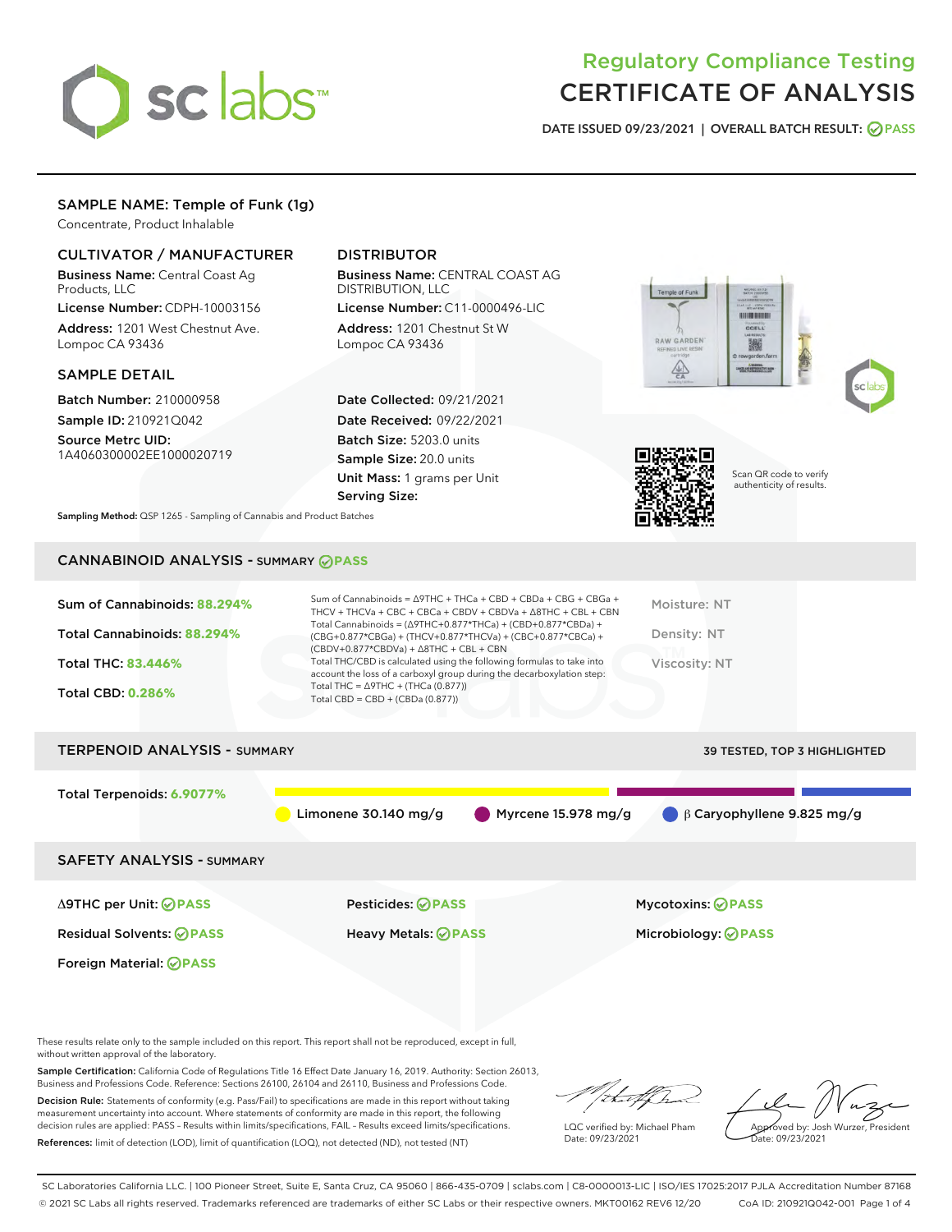

# Regulatory Compliance Testing CERTIFICATE OF ANALYSIS

DATE ISSUED 09/23/2021 | OVERALL BATCH RESULT: @ PASS

## SAMPLE NAME: Temple of Funk (1g)

Concentrate, Product Inhalable

## CULTIVATOR / MANUFACTURER

Business Name: Central Coast Ag Products, LLC

License Number: CDPH-10003156 Address: 1201 West Chestnut Ave. Lompoc CA 93436

#### SAMPLE DETAIL

Batch Number: 210000958 Sample ID: 210921Q042

Source Metrc UID: 1A4060300002EE1000020719

## DISTRIBUTOR

Business Name: CENTRAL COAST AG DISTRIBUTION, LLC License Number: C11-0000496-LIC

Address: 1201 Chestnut St W Lompoc CA 93436

Date Collected: 09/21/2021 Date Received: 09/22/2021 Batch Size: 5203.0 units Sample Size: 20.0 units Unit Mass: 1 grams per Unit Serving Size:







Scan QR code to verify authenticity of results.

Sampling Method: QSP 1265 - Sampling of Cannabis and Product Batches

## CANNABINOID ANALYSIS - SUMMARY **PASS**

| Sum of Cannabinoids: 88.294%        | Sum of Cannabinoids = $\triangle$ 9THC + THCa + CBD + CBDa + CBG + CBGa +<br>THCV + THCVa + CBC + CBCa + CBDV + CBDVa + $\triangle$ 8THC + CBL + CBN                                 | Moisture: NT                     |
|-------------------------------------|--------------------------------------------------------------------------------------------------------------------------------------------------------------------------------------|----------------------------------|
| Total Cannabinoids: 88.294%         | Total Cannabinoids = $(\Delta$ 9THC+0.877*THCa) + (CBD+0.877*CBDa) +<br>(CBG+0.877*CBGa) + (THCV+0.877*THCVa) + (CBC+0.877*CBCa) +<br>$(CBDV+0.877*CBDVa) + \Delta 8THC + CBL + CBN$ | Density: NT                      |
| <b>Total THC: 83.446%</b>           | Total THC/CBD is calculated using the following formulas to take into<br>account the loss of a carboxyl group during the decarboxylation step:                                       | Viscosity: NT                    |
| <b>Total CBD: 0.286%</b>            | Total THC = $\triangle$ 9THC + (THCa (0.877))<br>Total CBD = CBD + (CBDa (0.877))                                                                                                    |                                  |
| <b>TERPENOID ANALYSIS - SUMMARY</b> |                                                                                                                                                                                      | 39 TESTED, TOP 3 HIGHLIGHTED     |
| Total Terpenoids: 6.9077%           |                                                                                                                                                                                      |                                  |
|                                     | Myrcene 15.978 mg/g<br>Limonene $30.140$ mg/g                                                                                                                                        | $\beta$ Caryophyllene 9.825 mg/g |
| <b>SAFETY ANALYSIS - SUMMARY</b>    |                                                                                                                                                                                      |                                  |
| ∆9THC per Unit: ⊘PASS               | Pesticides: ⊘PASS                                                                                                                                                                    | <b>Mycotoxins: ⊘PASS</b>         |
| <b>Residual Solvents: ⊘PASS</b>     | <b>Heavy Metals: ⊘ PASS</b>                                                                                                                                                          | Microbiology: @PASS              |
| Foreign Material: <b>⊘ PASS</b>     |                                                                                                                                                                                      |                                  |

These results relate only to the sample included on this report. This report shall not be reproduced, except in full, without written approval of the laboratory.

Sample Certification: California Code of Regulations Title 16 Effect Date January 16, 2019. Authority: Section 26013, Business and Professions Code. Reference: Sections 26100, 26104 and 26110, Business and Professions Code.

Decision Rule: Statements of conformity (e.g. Pass/Fail) to specifications are made in this report without taking measurement uncertainty into account. Where statements of conformity are made in this report, the following decision rules are applied: PASS – Results within limits/specifications, FAIL – Results exceed limits/specifications. References: limit of detection (LOD), limit of quantification (LOQ), not detected (ND), not tested (NT)

/that f(h

LQC verified by: Michael Pham Date: 09/23/2021

Approved by: Josh Wurzer, President Date: 09/23/2021

SC Laboratories California LLC. | 100 Pioneer Street, Suite E, Santa Cruz, CA 95060 | 866-435-0709 | sclabs.com | C8-0000013-LIC | ISO/IES 17025:2017 PJLA Accreditation Number 87168 © 2021 SC Labs all rights reserved. Trademarks referenced are trademarks of either SC Labs or their respective owners. MKT00162 REV6 12/20 CoA ID: 210921Q042-001 Page 1 of 4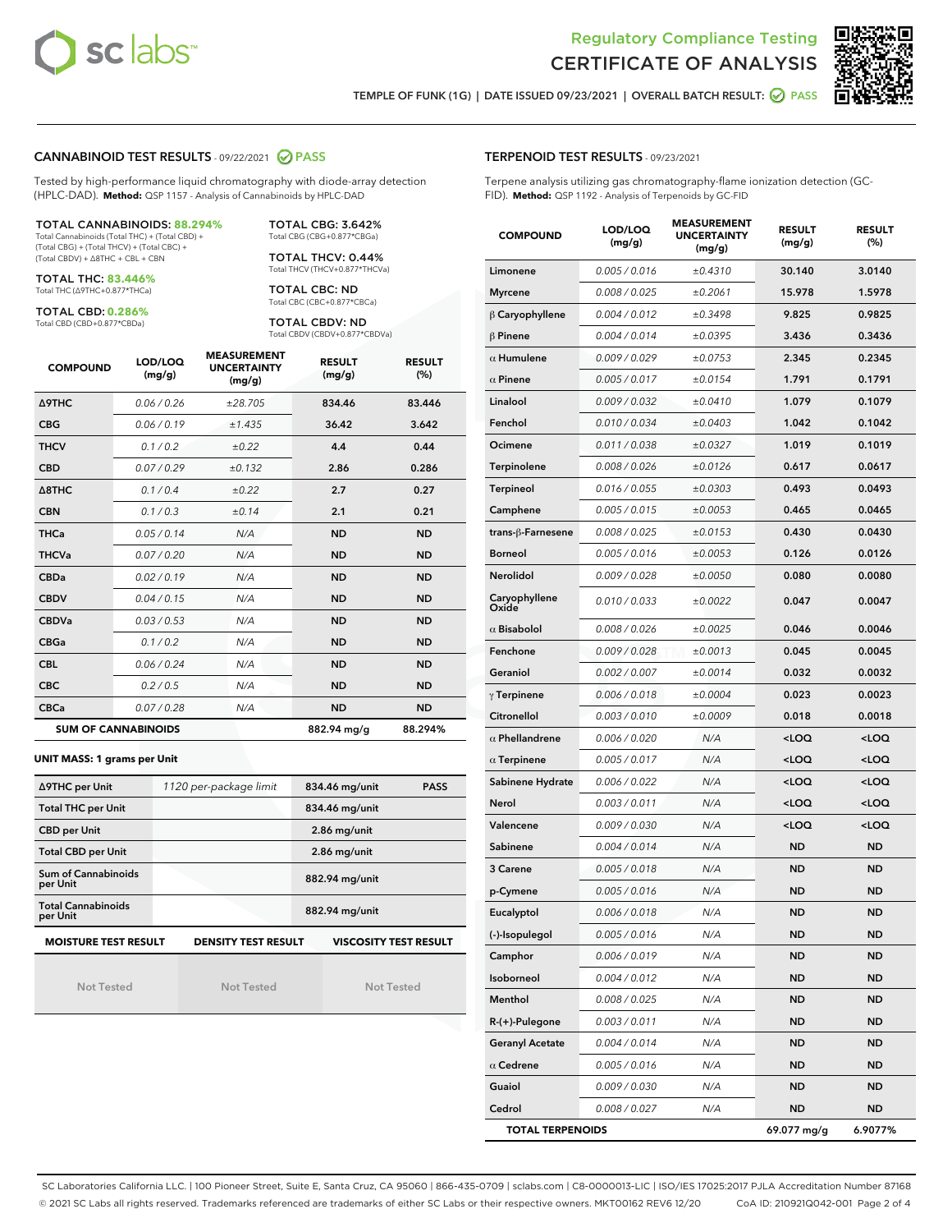



TEMPLE OF FUNK (1G) | DATE ISSUED 09/23/2021 | OVERALL BATCH RESULT: 2 PASS

## CANNABINOID TEST RESULTS - 09/22/2021 @ PASS

Tested by high-performance liquid chromatography with diode-array detection (HPLC-DAD). **Method:** QSP 1157 - Analysis of Cannabinoids by HPLC-DAD

#### TOTAL CANNABINOIDS: **88.294%**

Total Cannabinoids (Total THC) + (Total CBD) + (Total CBG) + (Total THCV) + (Total CBC) + (Total CBDV) + ∆8THC + CBL + CBN

TOTAL THC: **83.446%** Total THC (∆9THC+0.877\*THCa)

TOTAL CBD: **0.286%**

Total CBD (CBD+0.877\*CBDa)

TOTAL CBG: 3.642% Total CBG (CBG+0.877\*CBGa)

TOTAL THCV: 0.44% Total THCV (THCV+0.877\*THCVa)

TOTAL CBC: ND Total CBC (CBC+0.877\*CBCa)

TOTAL CBDV: ND Total CBDV (CBDV+0.877\*CBDVa)

| <b>COMPOUND</b>  | LOD/LOQ<br>(mg/g)          | <b>MEASUREMENT</b><br><b>UNCERTAINTY</b><br>(mg/g) | <b>RESULT</b><br>(mg/g) | <b>RESULT</b><br>(%) |
|------------------|----------------------------|----------------------------------------------------|-------------------------|----------------------|
| <b>A9THC</b>     | 0.06 / 0.26                | ±28.705                                            | 834.46                  | 83.446               |
| <b>CBG</b>       | 0.06 / 0.19                | ±1.435                                             | 36.42                   | 3.642                |
| <b>THCV</b>      | 0.1 / 0.2                  | ±0.22                                              | 4.4                     | 0.44                 |
| <b>CBD</b>       | 0.07/0.29                  | ±0.132                                             | 2.86                    | 0.286                |
| $\triangle$ 8THC | 0.1/0.4                    | $\pm 0.22$                                         | 2.7                     | 0.27                 |
| <b>CBN</b>       | 0.1/0.3                    | ±0.14                                              | 2.1                     | 0.21                 |
| <b>THCa</b>      | 0.05/0.14                  | N/A                                                | <b>ND</b>               | <b>ND</b>            |
| <b>THCVa</b>     | 0.07 / 0.20                | N/A                                                | <b>ND</b>               | <b>ND</b>            |
| <b>CBDa</b>      | 0.02/0.19                  | N/A                                                | <b>ND</b>               | <b>ND</b>            |
| <b>CBDV</b>      | 0.04 / 0.15                | N/A                                                | <b>ND</b>               | <b>ND</b>            |
| <b>CBDVa</b>     | 0.03 / 0.53                | N/A                                                | <b>ND</b>               | <b>ND</b>            |
| <b>CBGa</b>      | 0.1/0.2                    | N/A                                                | <b>ND</b>               | <b>ND</b>            |
| <b>CBL</b>       | 0.06 / 0.24                | N/A                                                | <b>ND</b>               | <b>ND</b>            |
| <b>CBC</b>       | 0.2 / 0.5                  | N/A                                                | <b>ND</b>               | <b>ND</b>            |
| <b>CBCa</b>      | 0.07 / 0.28                | N/A                                                | <b>ND</b>               | <b>ND</b>            |
|                  | <b>SUM OF CANNABINOIDS</b> |                                                    | 882.94 mg/g             | 88.294%              |

#### **UNIT MASS: 1 grams per Unit**

| ∆9THC per Unit                        | 1120 per-package limit     | 834.46 mg/unit<br><b>PASS</b> |
|---------------------------------------|----------------------------|-------------------------------|
| <b>Total THC per Unit</b>             |                            | 834.46 mg/unit                |
| <b>CBD per Unit</b>                   |                            | $2.86$ mg/unit                |
| <b>Total CBD per Unit</b>             |                            | $2.86$ mg/unit                |
| Sum of Cannabinoids<br>per Unit       |                            | 882.94 mg/unit                |
| <b>Total Cannabinoids</b><br>per Unit |                            | 882.94 mg/unit                |
| <b>MOISTURE TEST RESULT</b>           | <b>DENSITY TEST RESULT</b> | <b>VISCOSITY TEST RESULT</b>  |

Not Tested

Not Tested

Not Tested

TERPENOID TEST RESULTS - 09/23/2021

Terpene analysis utilizing gas chromatography-flame ionization detection (GC-FID). **Method:** QSP 1192 - Analysis of Terpenoids by GC-FID

| <b>COMPOUND</b>         | LOD/LOQ<br>(mg/g) | <b>MEASUREMENT</b><br><b>UNCERTAINTY</b><br>(mq/q) | <b>RESULT</b><br>(mg/g)                         | <b>RESULT</b><br>$(\%)$ |
|-------------------------|-------------------|----------------------------------------------------|-------------------------------------------------|-------------------------|
| Limonene                | 0.005 / 0.016     | ±0.4310                                            | 30.140                                          | 3.0140                  |
| <b>Myrcene</b>          | 0.008 / 0.025     | ±0.2061                                            | 15.978                                          | 1.5978                  |
| $\beta$ Caryophyllene   | 0.004 / 0.012     | ±0.3498                                            | 9.825                                           | 0.9825                  |
| <b>β Pinene</b>         | 0.004 / 0.014     | ±0.0395                                            | 3.436                                           | 0.3436                  |
| $\alpha$ Humulene       | 0.009/0.029       | ±0.0753                                            | 2.345                                           | 0.2345                  |
| $\alpha$ Pinene         | 0.005 / 0.017     | ±0.0154                                            | 1.791                                           | 0.1791                  |
| Linalool                | 0.009 / 0.032     | ±0.0410                                            | 1.079                                           | 0.1079                  |
| Fenchol                 | 0.010 / 0.034     | ±0.0403                                            | 1.042                                           | 0.1042                  |
| Ocimene                 | 0.011 / 0.038     | ±0.0327                                            | 1.019                                           | 0.1019                  |
| Terpinolene             | 0.008 / 0.026     | ±0.0126                                            | 0.617                                           | 0.0617                  |
| Terpineol               | 0.016 / 0.055     | ±0.0303                                            | 0.493                                           | 0.0493                  |
| Camphene                | 0.005 / 0.015     | ±0.0053                                            | 0.465                                           | 0.0465                  |
| trans-β-Farnesene       | 0.008 / 0.025     | ±0.0153                                            | 0.430                                           | 0.0430                  |
| <b>Borneol</b>          | 0.005 / 0.016     | ±0.0053                                            | 0.126                                           | 0.0126                  |
| Nerolidol               | 0.009 / 0.028     | ±0.0050                                            | 0.080                                           | 0.0080                  |
| Caryophyllene<br>Oxide  | 0.010 / 0.033     | ±0.0022                                            | 0.047                                           | 0.0047                  |
| $\alpha$ Bisabolol      | 0.008 / 0.026     | ±0.0025                                            | 0.046                                           | 0.0046                  |
| Fenchone                | 0.009 / 0.028     | ±0.0013                                            | 0.045                                           | 0.0045                  |
| Geraniol                | 0.002 / 0.007     | ±0.0014                                            | 0.032                                           | 0.0032                  |
| $\gamma$ Terpinene      | 0.006 / 0.018     | ±0.0004                                            | 0.023                                           | 0.0023                  |
| Citronellol             | 0.003 / 0.010     | ±0.0009                                            | 0.018                                           | 0.0018                  |
| $\alpha$ Phellandrene   | 0.006 / 0.020     | N/A                                                | <loq< th=""><th><loq< th=""></loq<></th></loq<> | <loq< th=""></loq<>     |
| $\alpha$ Terpinene      | 0.005 / 0.017     | N/A                                                | <loq< th=""><th><loq< th=""></loq<></th></loq<> | <loq< th=""></loq<>     |
| Sabinene Hydrate        | 0.006 / 0.022     | N/A                                                | <loq< th=""><th><loq< th=""></loq<></th></loq<> | <loq< th=""></loq<>     |
| Nerol                   | 0.003 / 0.011     | N/A                                                | <loq< th=""><th><loq< th=""></loq<></th></loq<> | <loq< th=""></loq<>     |
| Valencene               | 0.009 / 0.030     | N/A                                                | <loq< th=""><th><loq< th=""></loq<></th></loq<> | <loq< th=""></loq<>     |
| Sabinene                | 0.004 / 0.014     | N/A                                                | <b>ND</b>                                       | <b>ND</b>               |
| 3 Carene                | 0.005 / 0.018     | N/A                                                | <b>ND</b>                                       | <b>ND</b>               |
| p-Cymene                | 0.005 / 0.016     | N/A                                                | <b>ND</b>                                       | <b>ND</b>               |
| Eucalyptol              | 0.006 / 0.018     | N/A                                                | ND                                              | ND                      |
| (-)-Isopulegol          | 0.005 / 0.016     | N/A                                                | ND                                              | ND                      |
| Camphor                 | 0.006 / 0.019     | N/A                                                | ND                                              | <b>ND</b>               |
| Isoborneol              | 0.004 / 0.012     | N/A                                                | ND                                              | <b>ND</b>               |
| Menthol                 | 0.008 / 0.025     | N/A                                                | ND                                              | <b>ND</b>               |
| R-(+)-Pulegone          | 0.003 / 0.011     | N/A                                                | ND                                              | <b>ND</b>               |
| <b>Geranyl Acetate</b>  | 0.004 / 0.014     | N/A                                                | ND                                              | ND                      |
| $\alpha$ Cedrene        | 0.005 / 0.016     | N/A                                                | ND                                              | <b>ND</b>               |
| Guaiol                  | 0.009 / 0.030     | N/A                                                | ND                                              | <b>ND</b>               |
| Cedrol                  | 0.008 / 0.027     | N/A                                                | <b>ND</b>                                       | ND                      |
| <b>TOTAL TERPENOIDS</b> |                   |                                                    | 69.077 mg/g                                     | 6.9077%                 |

SC Laboratories California LLC. | 100 Pioneer Street, Suite E, Santa Cruz, CA 95060 | 866-435-0709 | sclabs.com | C8-0000013-LIC | ISO/IES 17025:2017 PJLA Accreditation Number 87168 © 2021 SC Labs all rights reserved. Trademarks referenced are trademarks of either SC Labs or their respective owners. MKT00162 REV6 12/20 CoA ID: 210921Q042-001 Page 2 of 4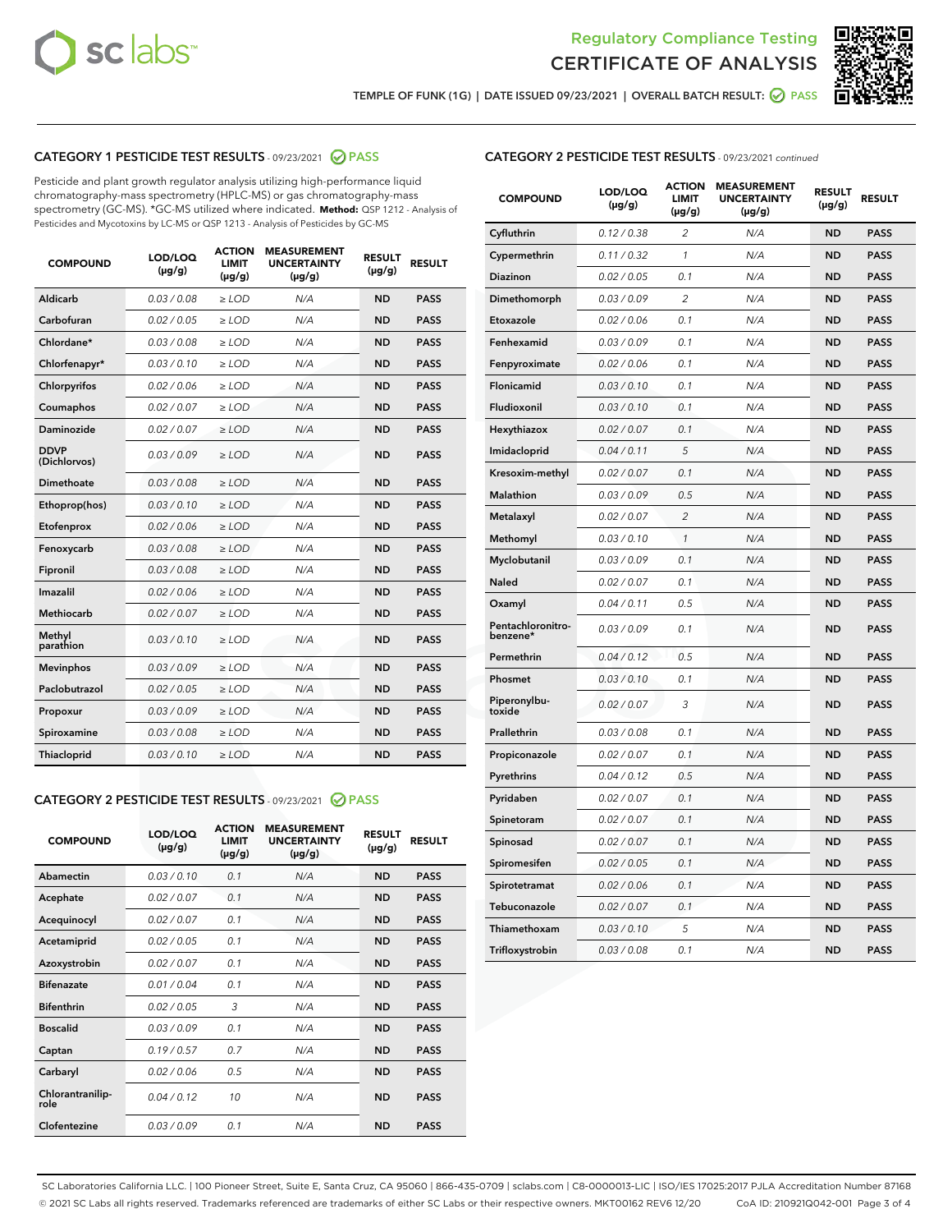



TEMPLE OF FUNK (1G) | DATE ISSUED 09/23/2021 | OVERALL BATCH RESULT: @ PASS

## CATEGORY 1 PESTICIDE TEST RESULTS - 09/23/2021 2 PASS

Pesticide and plant growth regulator analysis utilizing high-performance liquid chromatography-mass spectrometry (HPLC-MS) or gas chromatography-mass spectrometry (GC-MS). \*GC-MS utilized where indicated. **Method:** QSP 1212 - Analysis of Pesticides and Mycotoxins by LC-MS or QSP 1213 - Analysis of Pesticides by GC-MS

| <b>COMPOUND</b>             | LOD/LOQ<br>$(\mu g/g)$ | <b>ACTION</b><br><b>LIMIT</b><br>$(\mu g/g)$ | <b>MEASUREMENT</b><br><b>UNCERTAINTY</b><br>$(\mu g/g)$ | <b>RESULT</b><br>$(\mu g/g)$ | <b>RESULT</b> |
|-----------------------------|------------------------|----------------------------------------------|---------------------------------------------------------|------------------------------|---------------|
| Aldicarb                    | 0.03 / 0.08            | $\ge$ LOD                                    | N/A                                                     | <b>ND</b>                    | <b>PASS</b>   |
| Carbofuran                  | 0.02 / 0.05            | $\geq$ LOD                                   | N/A                                                     | <b>ND</b>                    | <b>PASS</b>   |
| Chlordane*                  | 0.03 / 0.08            | $\geq$ LOD                                   | N/A                                                     | <b>ND</b>                    | <b>PASS</b>   |
| Chlorfenapyr*               | 0.03/0.10              | $\geq$ LOD                                   | N/A                                                     | <b>ND</b>                    | <b>PASS</b>   |
| Chlorpyrifos                | 0.02 / 0.06            | $\ge$ LOD                                    | N/A                                                     | <b>ND</b>                    | <b>PASS</b>   |
| Coumaphos                   | 0.02 / 0.07            | $\ge$ LOD                                    | N/A                                                     | <b>ND</b>                    | <b>PASS</b>   |
| Daminozide                  | 0.02 / 0.07            | $\ge$ LOD                                    | N/A                                                     | <b>ND</b>                    | <b>PASS</b>   |
| <b>DDVP</b><br>(Dichlorvos) | 0.03/0.09              | $\ge$ LOD                                    | N/A                                                     | <b>ND</b>                    | <b>PASS</b>   |
| Dimethoate                  | 0.03 / 0.08            | $\ge$ LOD                                    | N/A                                                     | <b>ND</b>                    | <b>PASS</b>   |
| Ethoprop(hos)               | 0.03/0.10              | $\ge$ LOD                                    | N/A                                                     | <b>ND</b>                    | <b>PASS</b>   |
| Etofenprox                  | 0.02/0.06              | $>$ LOD                                      | N/A                                                     | <b>ND</b>                    | <b>PASS</b>   |
| Fenoxycarb                  | 0.03 / 0.08            | $>$ LOD                                      | N/A                                                     | <b>ND</b>                    | <b>PASS</b>   |
| Fipronil                    | 0.03 / 0.08            | $>$ LOD                                      | N/A                                                     | <b>ND</b>                    | <b>PASS</b>   |
| Imazalil                    | 0.02 / 0.06            | $\ge$ LOD                                    | N/A                                                     | <b>ND</b>                    | <b>PASS</b>   |
| <b>Methiocarb</b>           | 0.02 / 0.07            | $\ge$ LOD                                    | N/A                                                     | <b>ND</b>                    | <b>PASS</b>   |
| Methyl<br>parathion         | 0.03/0.10              | $\ge$ LOD                                    | N/A                                                     | <b>ND</b>                    | <b>PASS</b>   |
| <b>Mevinphos</b>            | 0.03/0.09              | $\ge$ LOD                                    | N/A                                                     | <b>ND</b>                    | <b>PASS</b>   |
| Paclobutrazol               | 0.02 / 0.05            | $\ge$ LOD                                    | N/A                                                     | <b>ND</b>                    | <b>PASS</b>   |
| Propoxur                    | 0.03/0.09              | $\ge$ LOD                                    | N/A                                                     | <b>ND</b>                    | <b>PASS</b>   |
| Spiroxamine                 | 0.03 / 0.08            | $\ge$ LOD                                    | N/A                                                     | <b>ND</b>                    | <b>PASS</b>   |
| Thiacloprid                 | 0.03/0.10              | $\ge$ LOD                                    | N/A                                                     | <b>ND</b>                    | <b>PASS</b>   |

#### CATEGORY 2 PESTICIDE TEST RESULTS - 09/23/2021 @ PASS

| <b>COMPOUND</b>          | LOD/LOO<br>$(\mu g/g)$ | <b>ACTION</b><br>LIMIT<br>$(\mu g/g)$ | <b>MEASUREMENT</b><br><b>UNCERTAINTY</b><br>$(\mu g/g)$ | <b>RESULT</b><br>$(\mu g/g)$ | <b>RESULT</b> |
|--------------------------|------------------------|---------------------------------------|---------------------------------------------------------|------------------------------|---------------|
| Abamectin                | 0.03/0.10              | 0.1                                   | N/A                                                     | <b>ND</b>                    | <b>PASS</b>   |
| Acephate                 | 0.02/0.07              | 0.1                                   | N/A                                                     | <b>ND</b>                    | <b>PASS</b>   |
| Acequinocyl              | 0.02/0.07              | 0.1                                   | N/A                                                     | <b>ND</b>                    | <b>PASS</b>   |
| Acetamiprid              | 0.02/0.05              | 0.1                                   | N/A                                                     | <b>ND</b>                    | <b>PASS</b>   |
| Azoxystrobin             | 0.02/0.07              | 0.1                                   | N/A                                                     | <b>ND</b>                    | <b>PASS</b>   |
| <b>Bifenazate</b>        | 0.01/0.04              | 0.1                                   | N/A                                                     | <b>ND</b>                    | <b>PASS</b>   |
| <b>Bifenthrin</b>        | 0.02/0.05              | 3                                     | N/A                                                     | <b>ND</b>                    | <b>PASS</b>   |
| <b>Boscalid</b>          | 0.03/0.09              | 0.1                                   | N/A                                                     | <b>ND</b>                    | <b>PASS</b>   |
| Captan                   | 0.19/0.57              | 0.7                                   | N/A                                                     | <b>ND</b>                    | <b>PASS</b>   |
| Carbaryl                 | 0.02/0.06              | 0.5                                   | N/A                                                     | <b>ND</b>                    | <b>PASS</b>   |
| Chlorantranilip-<br>role | 0.04/0.12              | 10                                    | N/A                                                     | <b>ND</b>                    | <b>PASS</b>   |
| Clofentezine             | 0.03/0.09              | 0.1                                   | N/A                                                     | <b>ND</b>                    | <b>PASS</b>   |

| <b>CATEGORY 2 PESTICIDE TEST RESULTS</b> - 09/23/2021 continued |
|-----------------------------------------------------------------|
|                                                                 |

| <b>COMPOUND</b>               | LOD/LOQ<br>(µg/g) | <b>ACTION</b><br>LIMIT<br>(µg/g) | <b>MEASUREMENT</b><br><b>UNCERTAINTY</b><br>(µg/g) | <b>RESULT</b><br>(µg/g) | <b>RESULT</b> |
|-------------------------------|-------------------|----------------------------------|----------------------------------------------------|-------------------------|---------------|
| Cyfluthrin                    | 0.12 / 0.38       | $\overline{c}$                   | N/A                                                | <b>ND</b>               | <b>PASS</b>   |
| Cypermethrin                  | 0.11/0.32         | 1                                | N/A                                                | <b>ND</b>               | <b>PASS</b>   |
| Diazinon                      | 0.02 / 0.05       | 0.1                              | N/A                                                | <b>ND</b>               | <b>PASS</b>   |
| Dimethomorph                  | 0.03 / 0.09       | 2                                | N/A                                                | <b>ND</b>               | <b>PASS</b>   |
| Etoxazole                     | 0.02 / 0.06       | 0.1                              | N/A                                                | <b>ND</b>               | <b>PASS</b>   |
| Fenhexamid                    | 0.03 / 0.09       | 0.1                              | N/A                                                | <b>ND</b>               | <b>PASS</b>   |
| Fenpyroximate                 | 0.02 / 0.06       | 0.1                              | N/A                                                | <b>ND</b>               | <b>PASS</b>   |
| Flonicamid                    | 0.03 / 0.10       | 0.1                              | N/A                                                | <b>ND</b>               | <b>PASS</b>   |
| Fludioxonil                   | 0.03 / 0.10       | 0.1                              | N/A                                                | <b>ND</b>               | <b>PASS</b>   |
| Hexythiazox                   | 0.02 / 0.07       | 0.1                              | N/A                                                | <b>ND</b>               | <b>PASS</b>   |
| Imidacloprid                  | 0.04 / 0.11       | 5                                | N/A                                                | <b>ND</b>               | <b>PASS</b>   |
| Kresoxim-methyl               | 0.02 / 0.07       | 0.1                              | N/A                                                | <b>ND</b>               | <b>PASS</b>   |
| Malathion                     | 0.03 / 0.09       | 0.5                              | N/A                                                | <b>ND</b>               | <b>PASS</b>   |
| Metalaxyl                     | 0.02 / 0.07       | 2                                | N/A                                                | <b>ND</b>               | <b>PASS</b>   |
| Methomyl                      | 0.03 / 0.10       | $\mathbf{1}$                     | N/A                                                | <b>ND</b>               | <b>PASS</b>   |
| Myclobutanil                  | 0.03 / 0.09       | 0.1                              | N/A                                                | <b>ND</b>               | <b>PASS</b>   |
| Naled                         | 0.02 / 0.07       | 0.1                              | N/A                                                | <b>ND</b>               | <b>PASS</b>   |
| Oxamyl                        | 0.04 / 0.11       | 0.5                              | N/A                                                | <b>ND</b>               | <b>PASS</b>   |
| Pentachloronitro-<br>benzene* | 0.03 / 0.09       | 0.1                              | N/A                                                | <b>ND</b>               | <b>PASS</b>   |
| Permethrin                    | 0.04/0.12         | 0.5                              | N/A                                                | <b>ND</b>               | <b>PASS</b>   |
| Phosmet                       | 0.03 / 0.10       | 0.1                              | N/A                                                | <b>ND</b>               | <b>PASS</b>   |
| Piperonylbu-<br>toxide        | 0.02 / 0.07       | 3                                | N/A                                                | <b>ND</b>               | <b>PASS</b>   |
| Prallethrin                   | 0.03 / 0.08       | 0.1                              | N/A                                                | <b>ND</b>               | <b>PASS</b>   |
| Propiconazole                 | 0.02 / 0.07       | 0.1                              | N/A                                                | <b>ND</b>               | <b>PASS</b>   |
| Pyrethrins                    | 0.04 / 0.12       | 0.5                              | N/A                                                | <b>ND</b>               | <b>PASS</b>   |
| Pyridaben                     | 0.02 / 0.07       | 0.1                              | N/A                                                | <b>ND</b>               | <b>PASS</b>   |
| Spinetoram                    | 0.02 / 0.07       | 0.1                              | N/A                                                | <b>ND</b>               | <b>PASS</b>   |
| Spinosad                      | 0.02 / 0.07       | 0.1                              | N/A                                                | <b>ND</b>               | <b>PASS</b>   |
| Spiromesifen                  | 0.02 / 0.05       | 0.1                              | N/A                                                | <b>ND</b>               | <b>PASS</b>   |
| Spirotetramat                 | 0.02 / 0.06       | 0.1                              | N/A                                                | ND                      | <b>PASS</b>   |
| Tebuconazole                  | 0.02 / 0.07       | 0.1                              | N/A                                                | <b>ND</b>               | <b>PASS</b>   |
| Thiamethoxam                  | 0.03 / 0.10       | 5                                | N/A                                                | <b>ND</b>               | <b>PASS</b>   |
| Trifloxystrobin               | 0.03 / 0.08       | 0.1                              | N/A                                                | <b>ND</b>               | <b>PASS</b>   |

SC Laboratories California LLC. | 100 Pioneer Street, Suite E, Santa Cruz, CA 95060 | 866-435-0709 | sclabs.com | C8-0000013-LIC | ISO/IES 17025:2017 PJLA Accreditation Number 87168 © 2021 SC Labs all rights reserved. Trademarks referenced are trademarks of either SC Labs or their respective owners. MKT00162 REV6 12/20 CoA ID: 210921Q042-001 Page 3 of 4